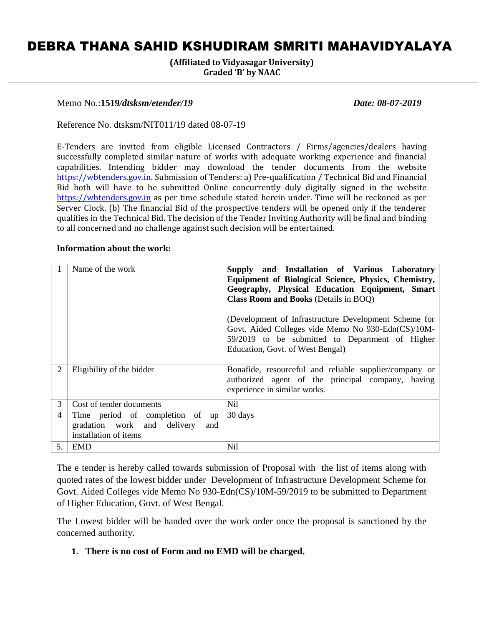# DEBRA THANA SAHID KSHUDIRAM SMRITI MAHAVIDYALAYA

**(Affiliated to Vidyasagar University) Graded 'B' by NAAC**

#### Memo No.:**1519***/dtsksm/etender/19 Date: 08-07-2019*

Reference No. dtsksm/NIT011/19 dated 08-07-19

E-Tenders are invited from eligible Licensed Contractors / Firms/agencies/dealers having successfully completed similar nature of works with adequate working experience and financial capabilities. Intending bidder may download the tender documents from the website [https://wbtenders.gov.in.](https://wbtenders.gov.in/) Submission of Tenders: a) Pre-qualification / Technical Bid and Financial Bid both will have to be submitted Online concurrently duly digitally signed in the website [https://wbtenders.gov.in](https://wbtenders.gov.in/) as per time schedule stated herein under. Time will be reckoned as per Server Clock. (b) The financial Bid of the prospective tenders will be opened only if the tenderer qualifies in the Technical Bid. The decision of the Tender Inviting Authority will be final and binding to all concerned and no challenge against such decision will be entertained.

#### **Information about the work:**

|    | Name of the work                                                                               | Supply and Installation of Various Laboratory<br>Equipment of Biological Science, Physics, Chemistry,<br>Geography, Physical Education Equipment, Smart<br><b>Class Room and Books (Details in BOQ)</b><br>(Development of Infrastructure Development Scheme for<br>Govt. Aided Colleges vide Memo No 930-Edn(CS)/10M-<br>59/2019 to be submitted to Department of Higher |
|----|------------------------------------------------------------------------------------------------|---------------------------------------------------------------------------------------------------------------------------------------------------------------------------------------------------------------------------------------------------------------------------------------------------------------------------------------------------------------------------|
|    |                                                                                                | Education, Govt. of West Bengal)                                                                                                                                                                                                                                                                                                                                          |
| 2  | Eligibility of the bidder                                                                      | Bonafide, resourceful and reliable supplier/company or<br>authorized agent of the principal company, having<br>experience in similar works.                                                                                                                                                                                                                               |
| 3  | Cost of tender documents                                                                       | Nil.                                                                                                                                                                                                                                                                                                                                                                      |
| 4  | Time period of completion of up<br>gradation work and delivery<br>and<br>installation of items | 30 days                                                                                                                                                                                                                                                                                                                                                                   |
| 5. | EMD                                                                                            | N <sub>i</sub>                                                                                                                                                                                                                                                                                                                                                            |

The e tender is hereby called towards submission of Proposal with the list of items along with quoted rates of the lowest bidder under Development of Infrastructure Development Scheme for Govt. Aided Colleges vide Memo No 930-Edn(CS)/10M-59/2019 to be submitted to Department of Higher Education, Govt. of West Bengal.

The Lowest bidder will be handed over the work order once the proposal is sanctioned by the concerned authority.

#### **1. There is no cost of Form and no EMD will be charged.**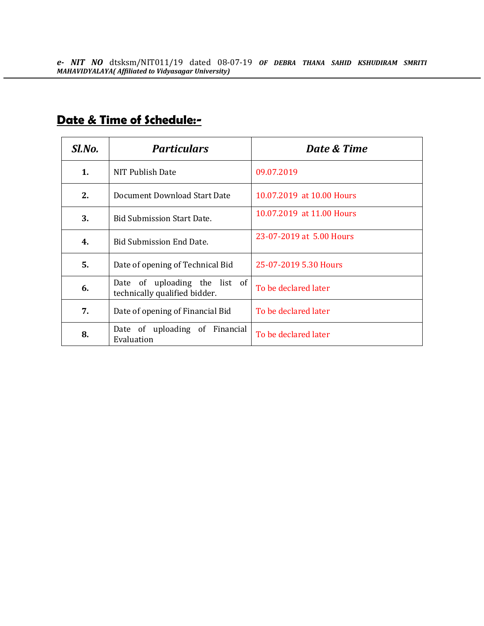| Sl.No.                                                               | <b>Particulars</b>                | Date & Time               |
|----------------------------------------------------------------------|-----------------------------------|---------------------------|
| 1.                                                                   | NIT Publish Date                  | 09.07.2019                |
| 2.                                                                   | Document Download Start Date      | 10.07.2019 at 10.00 Hours |
| 3.                                                                   | <b>Bid Submission Start Date.</b> | 10.07.2019 at 11.00 Hours |
| 4.                                                                   | <b>Bid Submission End Date.</b>   | 23-07-2019 at 5.00 Hours  |
| 5.                                                                   | Date of opening of Technical Bid  | 25-07-2019 5.30 Hours     |
| Date of uploading the list of<br>6.<br>technically qualified bidder. |                                   | To be declared later      |
| 7.<br>Date of opening of Financial Bid                               |                                   | To be declared later      |
| Date of uploading of Financial<br>8.<br>Evaluation                   |                                   | To be declared later      |

# **Date & Time of Schedule:-**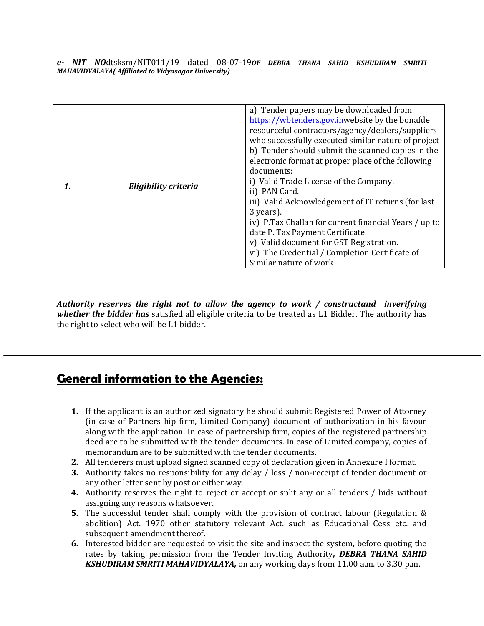*Authority reserves the right not to allow the agency to work / constructand inverifying whether the bidder has* satisfied all eligible criteria to be treated as L1 Bidder. The authority has the right to select who will be L1 bidder.

# **General information to the Agencies:**

- **1.** If the applicant is an authorized signatory he should submit Registered Power of Attorney (in case of Partners hip firm, Limited Company) document of authorization in his favour along with the application. In case of partnership firm, copies of the registered partnership deed are to be submitted with the tender documents. In case of Limited company, copies of memorandum are to be submitted with the tender documents.
- **2.** All tenderers must upload signed scanned copy of declaration given in Annexure I format.
- **3.** Authority takes no responsibility for any delay / loss / non-receipt of tender document or any other letter sent by post or either way.
- **4.** Authority reserves the right to reject or accept or split any or all tenders / bids without assigning any reasons whatsoever.
- **5.** The successful tender shall comply with the provision of contract labour (Regulation & abolition) Act. 1970 other statutory relevant Act. such as Educational Cess etc. and subsequent amendment thereof.
- **6.** Interested bidder are requested to visit the site and inspect the system, before quoting the rates by taking permission from the Tender Inviting Authority*, DEBRA THANA SAHID KSHUDIRAM SMRITI MAHAVIDYALAYA,* on any working days from 11.00 a.m. to 3.30 p.m.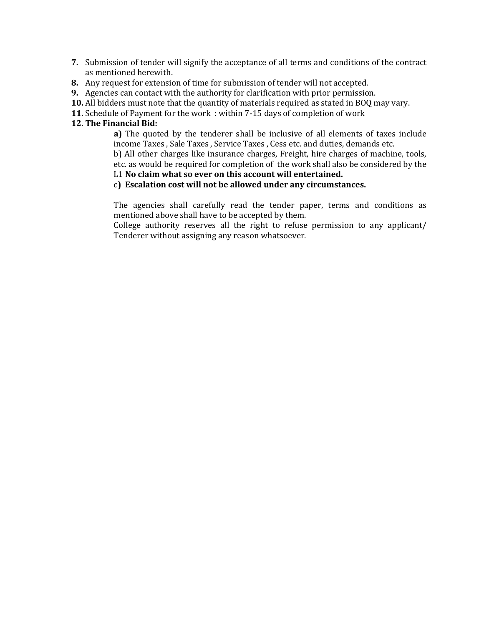- **7.** Submission of tender will signify the acceptance of all terms and conditions of the contract as mentioned herewith.
- **8.** Any request for extension of time for submission of tender will not accepted.
- **9.** Agencies can contact with the authority for clarification with prior permission.
- **10.** All bidders must note that the quantity of materials required as stated in BOQ may vary.
- **11.** Schedule of Payment for the work : within 7-15 days of completion of work

#### **12. The Financial Bid:**

**a)** The quoted by the tenderer shall be inclusive of all elements of taxes include income Taxes , Sale Taxes , Service Taxes , Cess etc. and duties, demands etc.

b) All other charges like insurance charges, Freight, hire charges of machine, tools, etc. as would be required for completion of the work shall also be considered by the

### L1 **No claim what so ever on this account will entertained.**

#### c**) Escalation cost will not be allowed under any circumstances.**

The agencies shall carefully read the tender paper, terms and conditions as mentioned above shall have to be accepted by them.

College authority reserves all the right to refuse permission to any applicant/ Tenderer without assigning any reason whatsoever.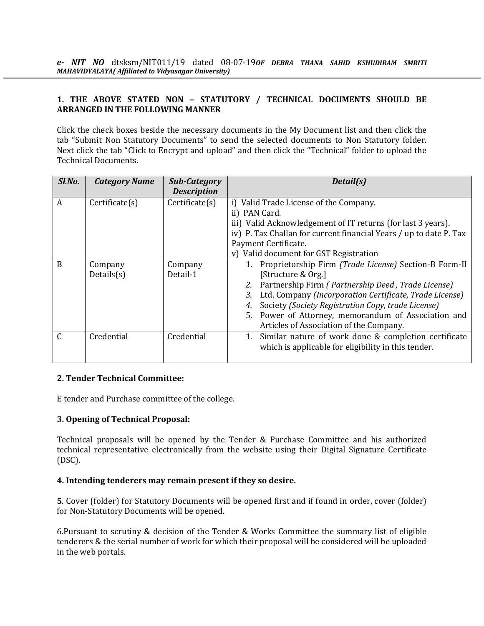#### **1. THE ABOVE STATED NON – STATUTORY / TECHNICAL DOCUMENTS SHOULD BE ARRANGED IN THE FOLLOWING MANNER**

Click the check boxes beside the necessary documents in the My Document list and then click the tab "Submit Non Statutory Documents" to send the selected documents to Non Statutory folder. Next click the tab "Click to Encrypt and upload" and then click the "Technical" folder to upload the Technical Documents.

| Sl.No.         | <b>Category Name</b> | Sub-Category       | Detail(s)                                                                                                         |
|----------------|----------------------|--------------------|-------------------------------------------------------------------------------------------------------------------|
|                |                      | <b>Description</b> |                                                                                                                   |
| $\overline{A}$ | Certificance(s)      | Certificance(s)    | i) Valid Trade License of the Company.                                                                            |
|                |                      |                    | ii) PAN Card.                                                                                                     |
|                |                      |                    | iii) Valid Acknowledgement of IT returns (for last 3 years).                                                      |
|                |                      |                    | iv) P. Tax Challan for current financial Years / up to date P. Tax                                                |
|                |                      |                    | Payment Certificate.                                                                                              |
|                |                      |                    | v) Valid document for GST Registration                                                                            |
| <sub>B</sub>   | Company              | Company            | Proprietorship Firm (Trade License) Section-B Form-II                                                             |
|                | Details(s)           | Detail-1           | [Structure & Org.]                                                                                                |
|                |                      |                    | Partnership Firm (Partnership Deed, Trade License)<br>2.                                                          |
|                |                      |                    | Ltd. Company (Incorporation Certificate, Trade License)<br>3.                                                     |
|                |                      |                    | Society (Society Registration Copy, trade License)<br>4.                                                          |
|                |                      |                    | Power of Attorney, memorandum of Association and<br>5.                                                            |
|                |                      |                    | Articles of Association of the Company.                                                                           |
| $\mathcal{C}$  | Credential           | Credential         | Similar nature of work done & completion certificate<br>1.<br>which is applicable for eligibility in this tender. |
|                |                      |                    |                                                                                                                   |

#### **2. Tender Technical Committee:**

E tender and Purchase committee of the college.

#### **3. Opening of Technical Proposal:**

Technical proposals will be opened by the Tender & Purchase Committee and his authorized technical representative electronically from the website using their Digital Signature Certificate (DSC).

#### **4. Intending tenderers may remain present if they so desire.**

**5**. Cover (folder) for Statutory Documents will be opened first and if found in order, cover (folder) for Non-Statutory Documents will be opened.

6.Pursuant to scrutiny & decision of the Tender & Works Committee the summary list of eligible tenderers & the serial number of work for which their proposal will be considered will be uploaded in the web portals.